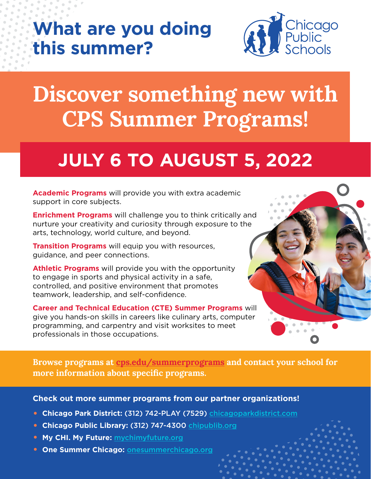#### **What are you doing this summer?**



## **Discover something new with CPS Summer Programs!**

### **JULY 6 TO AUGUST 5, 2022**

**Academic Programs** will provide you with extra academic support in core subjects.

**Enrichment Programs** will challenge you to think critically and nurture your creativity and curiosity through exposure to the arts, technology, world culture, and beyond.

**Transition Programs** will equip you with resources, guidance, and peer connections.

**Athletic Programs** will provide you with the opportunity to engage in sports and physical activity in a safe, controlled, and positive environment that promotes teamwork, leadership, and self-confidence.

**Career and Technical Education (CTE) Summer Programs** will give you hands-on skills in careers like culinary arts, computer programming, and carpentry and visit worksites to meet professionals in those occupations.



**Browse programs at [cps.edu/summerprograms](https://www.cps.edu/campaigns/summer-programs) and contact your school for more information about specific programs.**

**Check out more summer programs from our partner organizations!**

- **Chicago Park District:** (312) 742-PLAY (7529) [chicagoparkdistrict.com](https://www.chicagoparkdistrict.com/)
- **Chicago Public Library:** (312) 747-4300 [chipublib.org](https://www.chipublib.org/)
- **My CHI. My Future:** [mychimyfuture.org](https://explore.mychimyfuture.org/)
- **One Summer Chicago:** [onesummerchicago.org](http://www.onesummerchicago.org/)